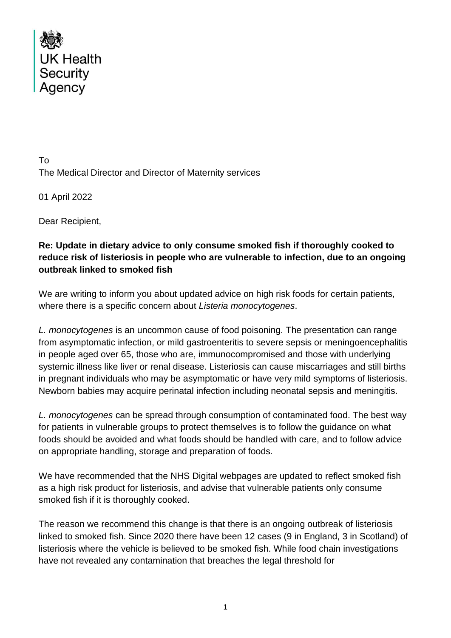

To The Medical Director and Director of Maternity services

01 April 2022

Dear Recipient,

## **Re: Update in dietary advice to only consume smoked fish if thoroughly cooked to reduce risk of listeriosis in people who are vulnerable to infection, due to an ongoing outbreak linked to smoked fish**

We are writing to inform you about updated advice on high risk foods for certain patients, where there is a specific concern about *Listeria monocytogenes*.

*L. monocytogenes* is an uncommon cause of food poisoning. The presentation can range from asymptomatic infection, or mild gastroenteritis to severe sepsis or meningoencephalitis in people aged over 65, those who are, immunocompromised and those with underlying systemic illness like liver or renal disease. Listeriosis can cause miscarriages and still births in pregnant individuals who may be asymptomatic or have very mild symptoms of listeriosis. Newborn babies may acquire perinatal infection including neonatal sepsis and meningitis.

*L. monocytogenes* can be spread through consumption of contaminated food. The best way for patients in vulnerable groups to protect themselves is to follow the guidance on what foods should be avoided and what foods should be handled with care, and to follow advice on appropriate handling, storage and preparation of foods.

We have recommended that the NHS Digital webpages are updated to reflect smoked fish as a high risk product for listeriosis, and advise that vulnerable patients only consume smoked fish if it is thoroughly cooked.

The reason we recommend this change is that there is an ongoing outbreak of listeriosis linked to smoked fish. Since 2020 there have been 12 cases (9 in England, 3 in Scotland) of listeriosis where the vehicle is believed to be smoked fish. While food chain investigations have not revealed any contamination that breaches the legal threshold for